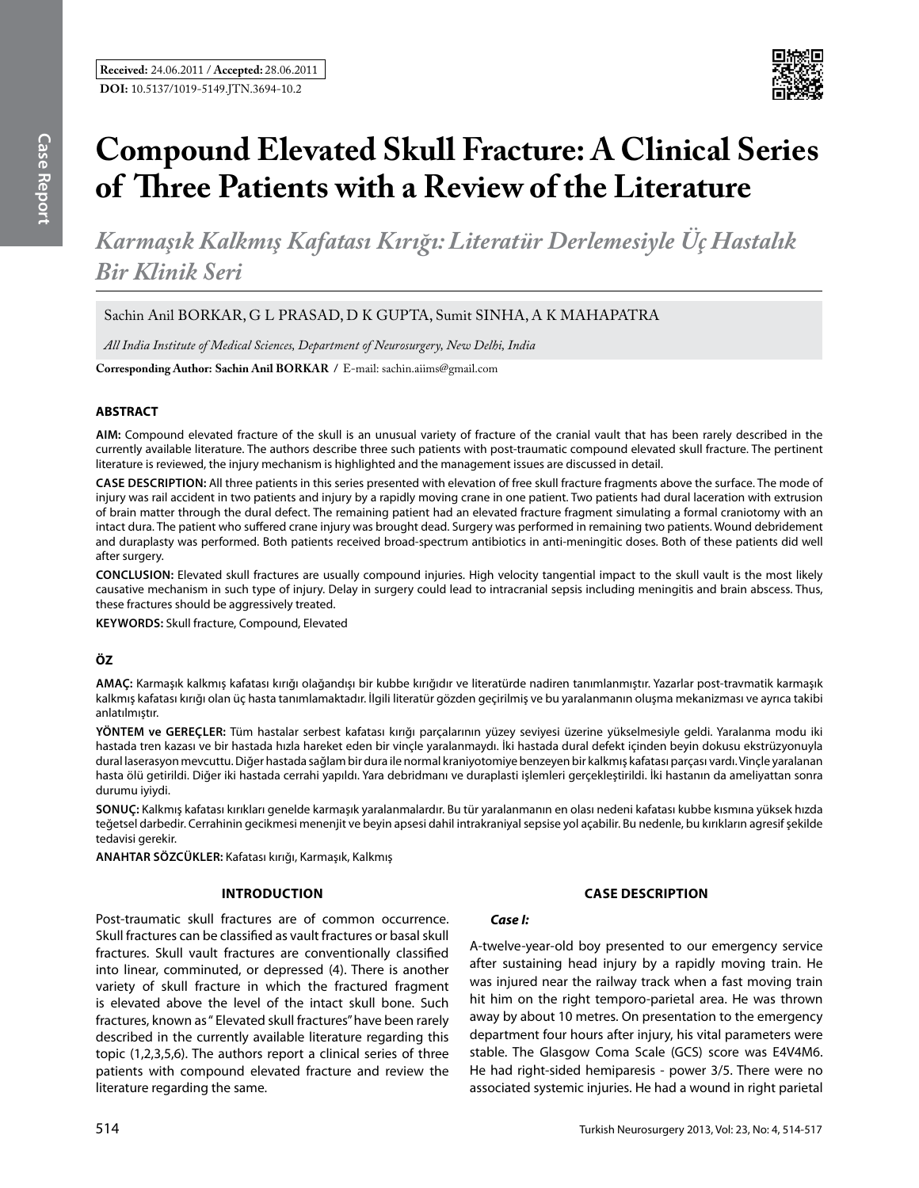

# **Compound Elevated Skull Fracture: A Clinical Series of Three Patients with a Review of the Literature**

*Karmaşık Kalkmış Kafatası Kırığı: Literatür Derlemesiyle Üç Hastalık Bir Klinik Seri* 

Sachin Anil BORKAR, G L PRASAD, D K GUPTA, Sumit SINHA, A K MAHAPATRA

*All India Institute of Medical Sciences, Department of Neurosurgery, New Delhi, India*

**Corresponding Author: Sachin Anil Borkar /** E-mail: sachin.aiims@gmail.com

## **ABSTRACT**

**AIm:** Compound elevated fracture of the skull is an unusual variety of fracture of the cranial vault that has been rarely described in the currently available literature. The authors describe three such patients with post-traumatic compound elevated skull fracture. The pertinent literature is reviewed, the injury mechanism is highlighted and the management issues are discussed in detail.

**Case DescrIptIon:** All three patients in this series presented with elevation of free skull fracture fragments above the surface. The mode of injury was rail accident in two patients and injury by a rapidly moving crane in one patient. Two patients had dural laceration with extrusion of brain matter through the dural defect. The remaining patient had an elevated fracture fragment simulating a formal craniotomy with an intact dura. The patient who suffered crane injury was brought dead. Surgery was performed in remaining two patients. Wound debridement and duraplasty was performed. Both patients received broad-spectrum antibiotics in anti-meningitic doses. Both of these patients did well after surgery.

**ConclusIon:** Elevated skull fractures are usually compound injuries. High velocity tangential impact to the skull vault is the most likely causative mechanism in such type of injury. Delay in surgery could lead to intracranial sepsis including meningitis and brain abscess. Thus, these fractures should be aggressively treated.

**Keywords:** Skull fracture, Compound, Elevated

# **ÖZ**

**AMAÇ:** Karmaşık kalkmış kafatası kırığı olağandışı bir kubbe kırığıdır ve literatürde nadiren tanımlanmıştır. Yazarlar post-travmatik karmaşık kalkmış kafatası kırığı olan üç hasta tanımlamaktadır. İlgili literatür gözden geçirilmiş ve bu yaralanmanın oluşma mekanizması ve ayrıca takibi anlatılmıştır.

**YÖNTEM ve GEREÇLER:** Tüm hastalar serbest kafatası kırığı parçalarının yüzey seviyesi üzerine yükselmesiyle geldi. Yaralanma modu iki hastada tren kazası ve bir hastada hızla hareket eden bir vinçle yaralanmaydı. İki hastada dural defekt içinden beyin dokusu ekstrüzyonuyla dural laserasyon mevcuttu. Diğer hastada sağlam bir dura ile normal kraniyotomiye benzeyen bir kalkmış kafatası parçası vardı. Vinçle yaralanan hasta ölü getirildi. Diğer iki hastada cerrahi yapıldı. Yara debridmanı ve duraplasti işlemleri gerçekleştirildi. İki hastanın da ameliyattan sonra durumu iyiydi.

**SONUÇ:** Kalkmış kafatası kırıkları genelde karmaşık yaralanmalardır. Bu tür yaralanmanın en olası nedeni kafatası kubbe kısmına yüksek hızda teğetsel darbedir. Cerrahinin gecikmesi menenjit ve beyin apsesi dahil intrakraniyal sepsise yol açabilir. Bu nedenle, bu kırıkların agresif şekilde tedavisi gerekir.

**ANAHTAR SÖZCÜKLER:** Kafatası kırığı, Karmaşık, Kalkmış

#### **Introduction**

Post-traumatic skull fractures are of common occurrence. Skull fractures can be classified as vault fractures or basal skull fractures. Skull vault fractures are conventionally classified into linear, comminuted, or depressed (4). There is another variety of skull fracture in which the fractured fragment is elevated above the level of the intact skull bone. Such fractures, known as " Elevated skull fractures" have been rarely described in the currently available literature regarding this topic (1,2,3,5,6). The authors report a clinical series of three patients with compound elevated fracture and review the literature regarding the same.

# **Case description**

#### *Case I:*

A-twelve-year-old boy presented to our emergency service after sustaining head injury by a rapidly moving train. He was injured near the railway track when a fast moving train hit him on the right temporo-parietal area. He was thrown away by about 10 metres. On presentation to the emergency department four hours after injury, his vital parameters were stable. The Glasgow Coma Scale (GCS) score was E4V4M6. He had right-sided hemiparesis - power 3/5. There were no associated systemic injuries. He had a wound in right parietal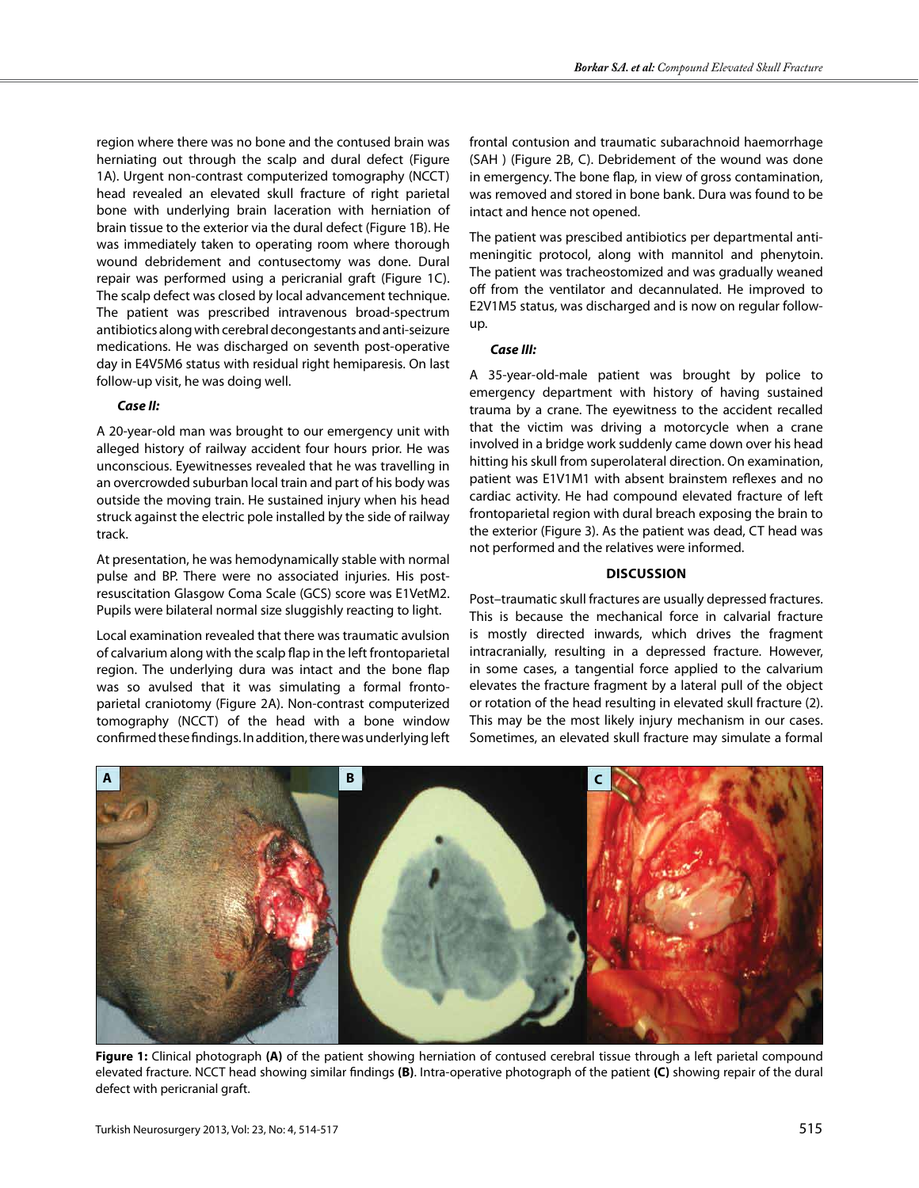region where there was no bone and the contused brain was herniating out through the scalp and dural defect (Figure 1A). Urgent non-contrast computerized tomography (NCCT) head revealed an elevated skull fracture of right parietal bone with underlying brain laceration with herniation of brain tissue to the exterior via the dural defect (Figure 1b). He was immediately taken to operating room where thorough wound debridement and contusectomy was done. Dural repair was performed using a pericranial graft (Figure 1c). The scalp defect was closed by local advancement technique. The patient was prescribed intravenous broad-spectrum antibiotics along with cerebral decongestants and anti-seizure medications. He was discharged on seventh post-operative day in E4V5M6 status with residual right hemiparesis. On last follow-up visit, he was doing well.

#### *Case II:*

A 20-year-old man was brought to our emergency unit with alleged history of railway accident four hours prior. He was unconscious. Eyewitnesses revealed that he was travelling in an overcrowded suburban local train and part of his body was outside the moving train. He sustained injury when his head struck against the electric pole installed by the side of railway track.

At presentation, he was hemodynamically stable with normal pulse and BP. There were no associated injuries. His postresuscitation Glasgow Coma Scale (GCS) score was E1VetM2. Pupils were bilateral normal size sluggishly reacting to light.

Local examination revealed that there was traumatic avulsion of calvarium along with the scalp flap in the left frontoparietal region. The underlying dura was intact and the bone flap was so avulsed that it was simulating a formal frontoparietal craniotomy (Figure 2A). Non-contrast computerized tomography (NCCT) of the head with a bone window confirmed these findings. In addition, there was underlying left frontal contusion and traumatic subarachnoid haemorrhage (SAH ) (Figure 2b, c). Debridement of the wound was done in emergency. The bone flap, in view of gross contamination, was removed and stored in bone bank. Dura was found to be intact and hence not opened.

The patient was prescibed antibiotics per departmental antimeningitic protocol, along with mannitol and phenytoin. The patient was tracheostomized and was gradually weaned off from the ventilator and decannulated. He improved to E2V1M5 status, was discharged and is now on regular followup.

## *Case III:*

A 35-year-old-male patient was brought by police to emergency department with history of having sustained trauma by a crane. The eyewitness to the accident recalled that the victim was driving a motorcycle when a crane involved in a bridge work suddenly came down over his head hitting his skull from superolateral direction. On examination, patient was E1V1M1 with absent brainstem reflexes and no cardiac activity. He had compound elevated fracture of left frontoparietal region with dural breach exposing the brain to the exterior (Figure 3). As the patient was dead, CT head was not performed and the relatives were informed.

# **Discussion**

Post–traumatic skull fractures are usually depressed fractures. This is because the mechanical force in calvarial fracture is mostly directed inwards, which drives the fragment intracranially, resulting in a depressed fracture. However, in some cases, a tangential force applied to the calvarium elevates the fracture fragment by a lateral pull of the object or rotation of the head resulting in elevated skull fracture (2). This may be the most likely injury mechanism in our cases. Sometimes, an elevated skull fracture may simulate a formal



**Figure 1:** Clinical photograph **(a)** of the patient showing herniation of contused cerebral tissue through a left parietal compound elevated fracture. NCCT head showing similar findings **(B)**. Intra-operative photograph of the patient **(C)** showing repair of the dural defect with pericranial graft.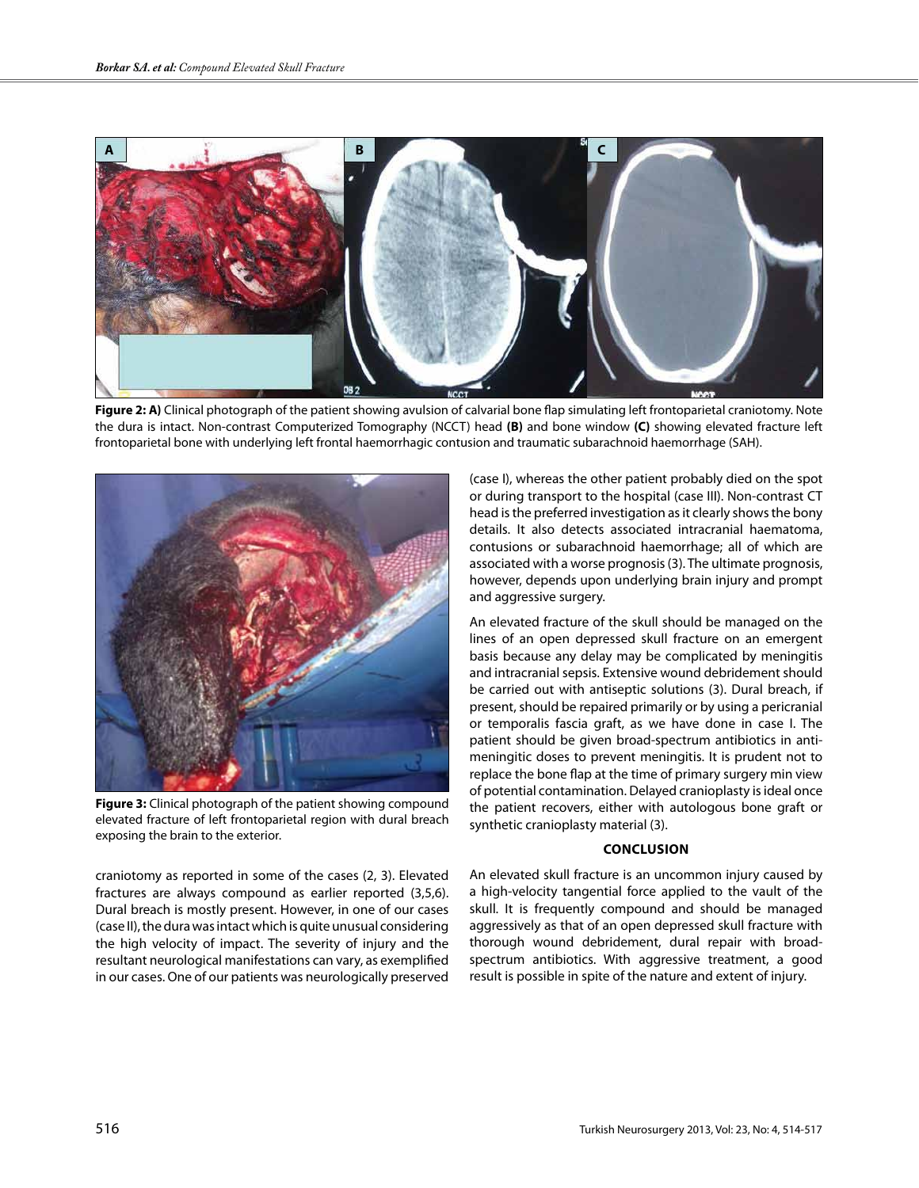

Figure 2: A) Clinical photograph of the patient showing avulsion of calvarial bone flap simulating left frontoparietal craniotomy. Note the dura is intact. Non-contrast Computerized Tomography (NCCT) head **(B)** and bone window **(C)** showing elevated fracture left frontoparietal bone with underlying left frontal haemorrhagic contusion and traumatic subarachnoid haemorrhage (SAH).



**Figure 3:** Clinical photograph of the patient showing compound elevated fracture of left frontoparietal region with dural breach exposing the brain to the exterior.

craniotomy as reported in some of the cases (2, 3). Elevated fractures are always compound as earlier reported (3,5,6). Dural breach is mostly present. However, in one of our cases (case II), the dura was intact which is quite unusual considering the high velocity of impact. The severity of injury and the resultant neurological manifestations can vary, as exemplified in our cases. One of our patients was neurologically preserved (case I), whereas the other patient probably died on the spot or during transport to the hospital (case III). Non-contrast CT head is the preferred investigation as it clearly shows the bony details. It also detects associated intracranial haematoma, contusions or subarachnoid haemorrhage; all of which are associated with a worse prognosis (3). The ultimate prognosis, however, depends upon underlying brain injury and prompt and aggressive surgery.

An elevated fracture of the skull should be managed on the lines of an open depressed skull fracture on an emergent basis because any delay may be complicated by meningitis and intracranial sepsis. Extensive wound debridement should be carried out with antiseptic solutions (3). Dural breach, if present, should be repaired primarily or by using a pericranial or temporalis fascia graft, as we have done in case I. The patient should be given broad-spectrum antibiotics in antimeningitic doses to prevent meningitis. It is prudent not to replace the bone flap at the time of primary surgery min view of potential contamination. Delayed cranioplasty is ideal once the patient recovers, either with autologous bone graft or synthetic cranioplasty material (3).

#### **Conclusion**

An elevated skull fracture is an uncommon injury caused by a high-velocity tangential force applied to the vault of the skull. It is frequently compound and should be managed aggressively as that of an open depressed skull fracture with thorough wound debridement, dural repair with broadspectrum antibiotics. With aggressive treatment, a good result is possible in spite of the nature and extent of injury.